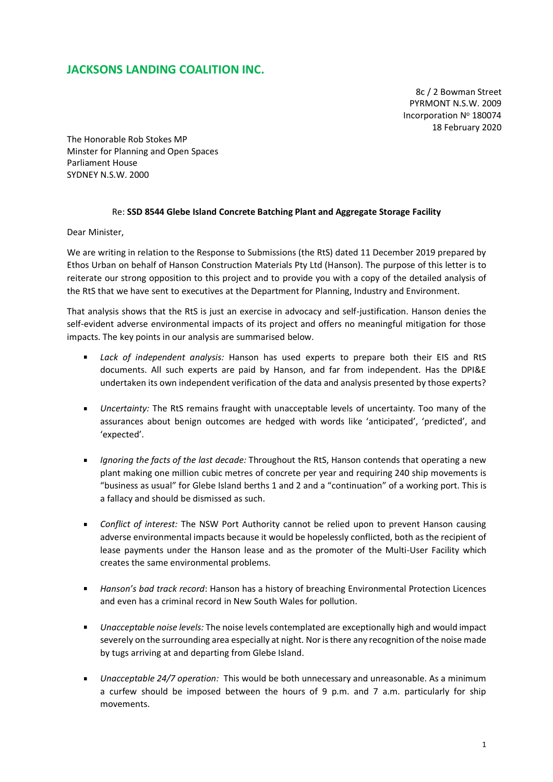## **JACKSONS LANDING COALITION INC.**

8c / 2 Bowman Street PYRMONT N.S.W. 2009 Incorporation Nº 180074 18 February 2020

The Honorable Rob Stokes MP Minster for Planning and Open Spaces Parliament House SYDNEY N.S.W. 2000

## Re: **SSD 8544 Glebe Island Concrete Batching Plant and Aggregate Storage Facility**

Dear Minister,

We are writing in relation to the Response to Submissions (the RtS) dated 11 December 2019 prepared by Ethos Urban on behalf of Hanson Construction Materials Pty Ltd (Hanson). The purpose of this letter is to reiterate our strong opposition to this project and to provide you with a copy of the detailed analysis of the RtS that we have sent to executives at the Department for Planning, Industry and Environment.

That analysis shows that the RtS is just an exercise in advocacy and self-justification. Hanson denies the self-evident adverse environmental impacts of its project and offers no meaningful mitigation for those impacts. The key points in our analysis are summarised below.

- $\mathbf{u}$  . *Lack of independent analysis:* Hanson has used experts to prepare both their EIS and RtS documents. All such experts are paid by Hanson, and far from independent. Has the DPI&E undertaken its own independent verification of the data and analysis presented by those experts?
- *Uncertainty:* The RtS remains fraught with unacceptable levels of uncertainty. Too many of the assurances about benign outcomes are hedged with words like 'anticipated', 'predicted', and 'expected'.
- *Ignoring the facts of the last decade:* Throughout the RtS, Hanson contends that operating a new plant making one million cubic metres of concrete per year and requiring 240 ship movements is "business as usual" for Glebe Island berths 1 and 2 and a "continuation" of a working port. This is a fallacy and should be dismissed as such.
- *Conflict of interest:* The NSW Port Authority cannot be relied upon to prevent Hanson causing adverse environmental impacts because it would be hopelessly conflicted, both as the recipient of lease payments under the Hanson lease and as the promoter of the Multi-User Facility which creates the same environmental problems.
- $\mathbf{u} = \mathbf{u}$ *Hanson's bad track record*: Hanson has a history of breaching Environmental Protection Licences and even has a criminal record in New South Wales for pollution.
- *Unacceptable noise levels:* The noise levels contemplated are exceptionally high and would impact severely on the surrounding area especially at night. Nor is there any recognition of the noise made by tugs arriving at and departing from Glebe Island.
- *Unacceptable 24/7 operation:* This would be both unnecessary and unreasonable. As a minimum a curfew should be imposed between the hours of 9 p.m. and 7 a.m. particularly for ship movements.